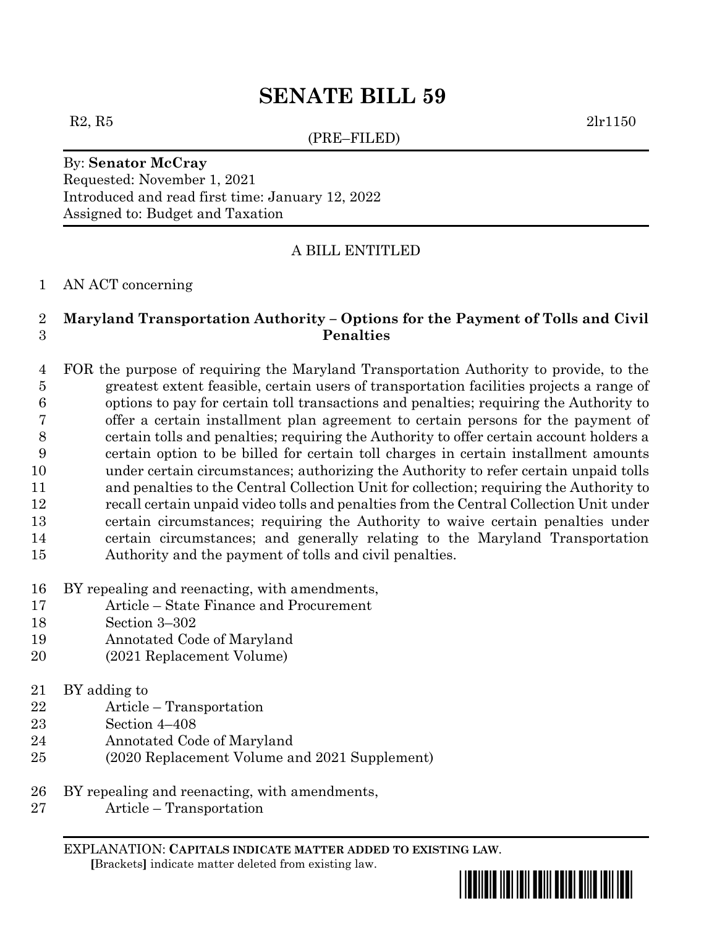(PRE–FILED)

 $R2, R5$  2lr1150

By: **Senator McCray** Requested: November 1, 2021 Introduced and read first time: January 12, 2022 Assigned to: Budget and Taxation

## A BILL ENTITLED

#### AN ACT concerning

## **Maryland Transportation Authority – Options for the Payment of Tolls and Civil Penalties**

 FOR the purpose of requiring the Maryland Transportation Authority to provide, to the greatest extent feasible, certain users of transportation facilities projects a range of options to pay for certain toll transactions and penalties; requiring the Authority to offer a certain installment plan agreement to certain persons for the payment of certain tolls and penalties; requiring the Authority to offer certain account holders a certain option to be billed for certain toll charges in certain installment amounts under certain circumstances; authorizing the Authority to refer certain unpaid tolls and penalties to the Central Collection Unit for collection; requiring the Authority to recall certain unpaid video tolls and penalties from the Central Collection Unit under certain circumstances; requiring the Authority to waive certain penalties under certain circumstances; and generally relating to the Maryland Transportation Authority and the payment of tolls and civil penalties.

- BY repealing and reenacting, with amendments,
- Article State Finance and Procurement
- Section 3–302
- Annotated Code of Maryland
- (2021 Replacement Volume)
- BY adding to
- Article Transportation
- Section 4–408
- Annotated Code of Maryland
- (2020 Replacement Volume and 2021 Supplement)
- BY repealing and reenacting, with amendments,
- Article Transportation

EXPLANATION: **CAPITALS INDICATE MATTER ADDED TO EXISTING LAW**.  **[**Brackets**]** indicate matter deleted from existing law.

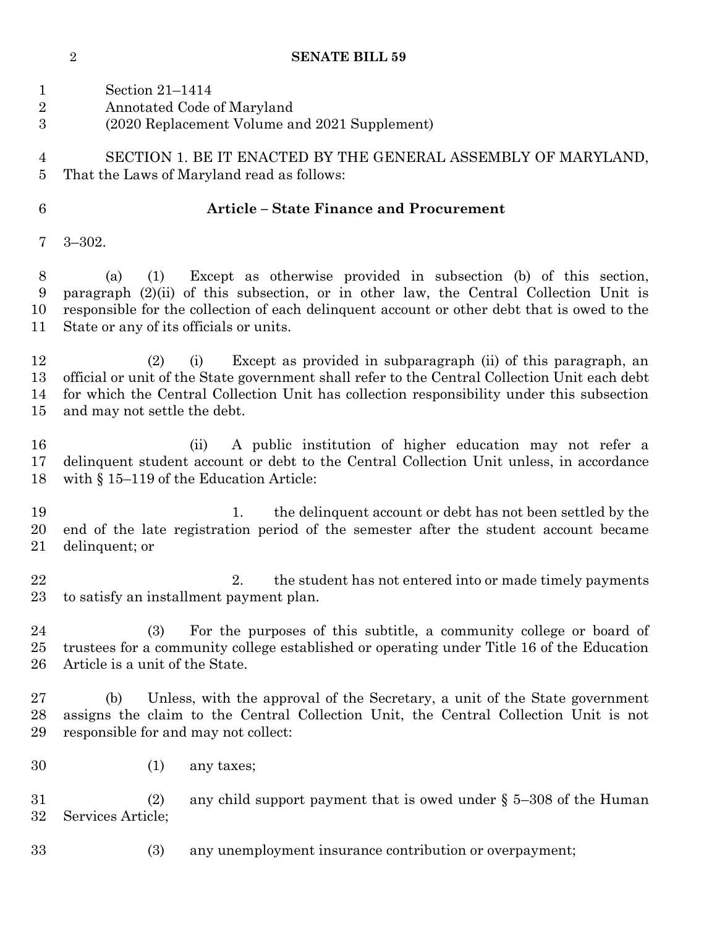|                  | $\alpha$ ה חרות הדרשומ                                                                        |
|------------------|-----------------------------------------------------------------------------------------------|
| $\mathbf{1}$     | Section 21-1414                                                                               |
| $\boldsymbol{2}$ | Annotated Code of Maryland                                                                    |
| 3                |                                                                                               |
|                  | (2020 Replacement Volume and 2021 Supplement)                                                 |
| $\overline{4}$   | SECTION 1. BE IT ENACTED BY THE GENERAL ASSEMBLY OF MARYLAND,                                 |
|                  |                                                                                               |
| $\overline{5}$   | That the Laws of Maryland read as follows:                                                    |
| $6\phantom{.}6$  | <b>Article - State Finance and Procurement</b>                                                |
|                  |                                                                                               |
| 7                | $3 - 302.$                                                                                    |
| 8                | Except as otherwise provided in subsection (b) of this section,<br>(1)<br>(a)                 |
| 9                | paragraph (2)(ii) of this subsection, or in other law, the Central Collection Unit is         |
| 10               | responsible for the collection of each delinquent account or other debt that is owed to the   |
|                  |                                                                                               |
| 11               | State or any of its officials or units.                                                       |
| 12               | Except as provided in subparagraph (ii) of this paragraph, an<br>(2)<br>(i)                   |
| 13               | official or unit of the State government shall refer to the Central Collection Unit each debt |
| 14               | for which the Central Collection Unit has collection responsibility under this subsection     |
|                  |                                                                                               |
| 15               | and may not settle the debt.                                                                  |
| 16               | A public institution of higher education may not refer a<br>(ii)                              |
| 17               | delinquent student account or debt to the Central Collection Unit unless, in accordance       |
| 18               | with $\S 15-119$ of the Education Article:                                                    |
|                  |                                                                                               |
| 19               | the delinquent account or debt has not been settled by the<br>1.                              |
| 20               | end of the late registration period of the semester after the student account became          |
| 21               | delinquent; or                                                                                |
|                  |                                                                                               |
| 22               | the student has not entered into or made timely payments                                      |
| 23               | to satisfy an installment payment plan.                                                       |
|                  |                                                                                               |
| 24               | For the purposes of this subtitle, a community college or board of<br>(3)                     |
| 25               | trustees for a community college established or operating under Title 16 of the Education     |
| 26               | Article is a unit of the State.                                                               |
|                  |                                                                                               |
| 27               | Unless, with the approval of the Secretary, a unit of the State government<br>(b)             |
| 28               | assigns the claim to the Central Collection Unit, the Central Collection Unit is not          |
| 29               | responsible for and may not collect:                                                          |
|                  |                                                                                               |
| 30               | (1)<br>any taxes;                                                                             |
|                  |                                                                                               |
| 31               | (2)<br>any child support payment that is owed under $\S$ 5-308 of the Human                   |
| 32               | Services Article;                                                                             |
|                  |                                                                                               |
| 33               | (3)<br>any unemployment insurance contribution or overpayment;                                |
|                  |                                                                                               |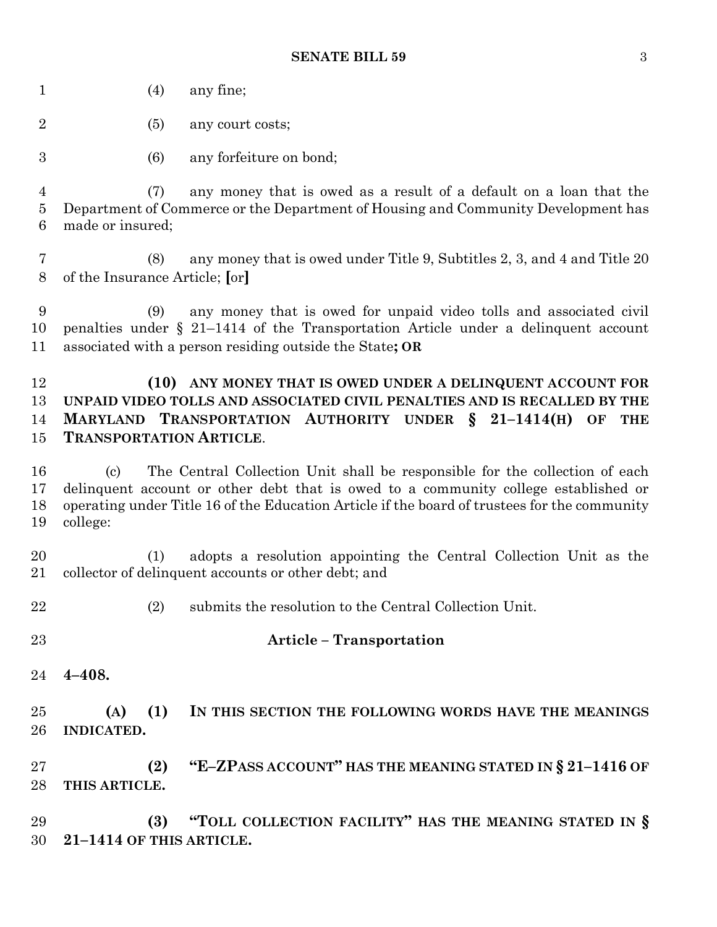|  | (4) | any fine; |
|--|-----|-----------|
|--|-----|-----------|

- (5) any court costs;
- (6) any forfeiture on bond;

 (7) any money that is owed as a result of a default on a loan that the Department of Commerce or the Department of Housing and Community Development has made or insured;

 (8) any money that is owed under Title 9, Subtitles 2, 3, and 4 and Title 20 of the Insurance Article; **[**or**]**

 (9) any money that is owed for unpaid video tolls and associated civil penalties under § 21–1414 of the Transportation Article under a delinquent account associated with a person residing outside the State**; OR**

## **(10) ANY MONEY THAT IS OWED UNDER A DELINQUENT ACCOUNT FOR UNPAID VIDEO TOLLS AND ASSOCIATED CIVIL PENALTIES AND IS RECALLED BY THE MARYLAND TRANSPORTATION AUTHORITY UNDER § 21–1414(H) OF THE TRANSPORTATION ARTICLE**.

 (c) The Central Collection Unit shall be responsible for the collection of each delinquent account or other debt that is owed to a community college established or operating under Title 16 of the Education Article if the board of trustees for the community college:

 (1) adopts a resolution appointing the Central Collection Unit as the collector of delinquent accounts or other debt; and

- (2) submits the resolution to the Central Collection Unit.
- 
- **Article – Transportation**
- **4–408.**

 **(A) (1) IN THIS SECTION THE FOLLOWING WORDS HAVE THE MEANINGS INDICATED.**

 **(2) "E–ZPASS ACCOUNT" HAS THE MEANING STATED IN § 21–1416 OF THIS ARTICLE.**

 **(3) "TOLL COLLECTION FACILITY" HAS THE MEANING STATED IN § 21–1414 OF THIS ARTICLE.**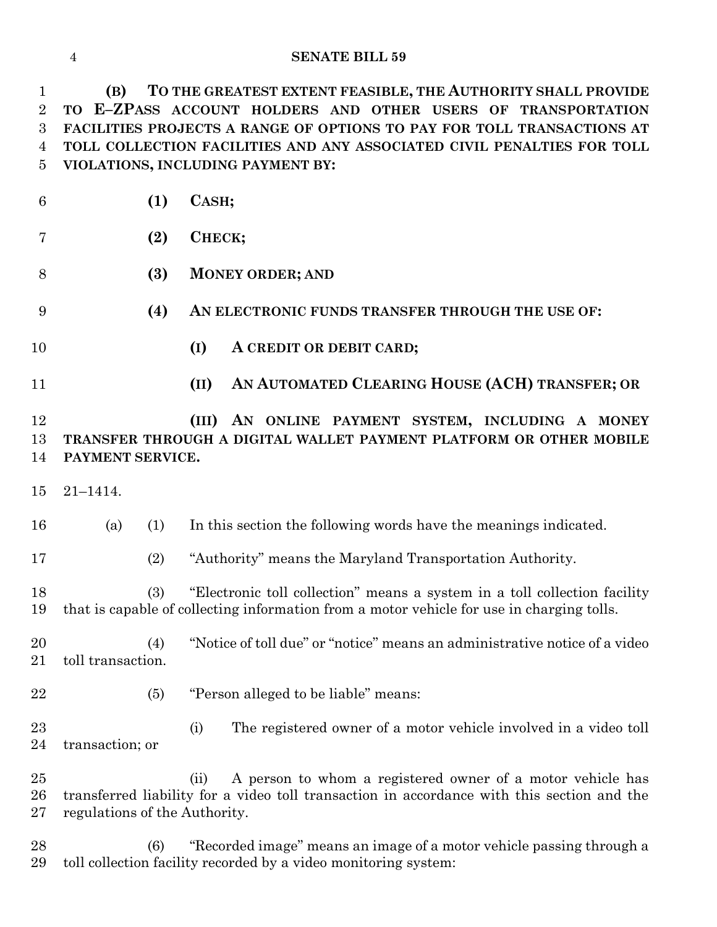**(B) TO THE GREATEST EXTENT FEASIBLE, THE AUTHORITY SHALL PROVIDE TO E–ZPASS ACCOUNT HOLDERS AND OTHER USERS OF TRANSPORTATION FACILITIES PROJECTS A RANGE OF OPTIONS TO PAY FOR TOLL TRANSACTIONS AT TOLL COLLECTION FACILITIES AND ANY ASSOCIATED CIVIL PENALTIES FOR TOLL VIOLATIONS, INCLUDING PAYMENT BY:**

| $\boldsymbol{6}$ | (1)                           | CASH;                                                                                                                                                                  |  |  |  |  |
|------------------|-------------------------------|------------------------------------------------------------------------------------------------------------------------------------------------------------------------|--|--|--|--|
| 7                | (2)                           | СНЕСК;                                                                                                                                                                 |  |  |  |  |
| 8                | (3)                           | <b>MONEY ORDER; AND</b>                                                                                                                                                |  |  |  |  |
| 9                | (4)                           | AN ELECTRONIC FUNDS TRANSFER THROUGH THE USE OF:                                                                                                                       |  |  |  |  |
| 10               |                               | (I)<br>A CREDIT OR DEBIT CARD;                                                                                                                                         |  |  |  |  |
| 11               |                               | AN AUTOMATED CLEARING HOUSE (ACH) TRANSFER; OR<br>(II)                                                                                                                 |  |  |  |  |
| 12<br>13<br>14   | PAYMENT SERVICE.              | AN ONLINE PAYMENT SYSTEM, INCLUDING A MONEY<br>(III)<br>TRANSFER THROUGH A DIGITAL WALLET PAYMENT PLATFORM OR OTHER MOBILE                                             |  |  |  |  |
| 15               | $21 - 1414.$                  |                                                                                                                                                                        |  |  |  |  |
| 16               | (a)<br>(1)                    | In this section the following words have the meanings indicated.                                                                                                       |  |  |  |  |
| 17               | (2)                           | "Authority" means the Maryland Transportation Authority.                                                                                                               |  |  |  |  |
| 18<br>19         | (3)                           | "Electronic toll collection" means a system in a toll collection facility<br>that is capable of collecting information from a motor vehicle for use in charging tolls. |  |  |  |  |
| 20<br>21         | (4)<br>toll transaction.      | "Notice of toll due" or "notice" means an administrative notice of a video                                                                                             |  |  |  |  |
| 22               | (5)                           | "Person alleged to be liable" means:                                                                                                                                   |  |  |  |  |
| 23<br>24         | transaction; or               | The registered owner of a motor vehicle involved in a video toll<br>(i)                                                                                                |  |  |  |  |
| 25<br>26<br>27   | regulations of the Authority. | A person to whom a registered owner of a motor vehicle has<br>(ii)<br>transferred liability for a video toll transaction in accordance with this section and the       |  |  |  |  |

 (6) "Recorded image" means an image of a motor vehicle passing through a toll collection facility recorded by a video monitoring system: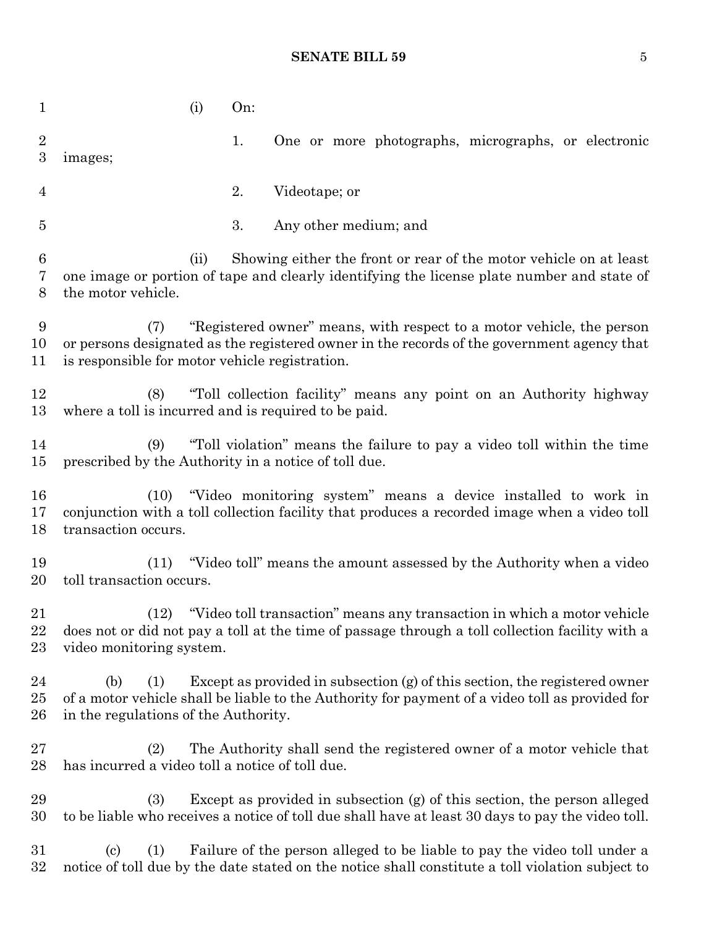| $\mathbf{1}$              |                                                                                                                                                                                                                              | (i) | On: |                                                                                                                                                                                 |  |  |  |
|---------------------------|------------------------------------------------------------------------------------------------------------------------------------------------------------------------------------------------------------------------------|-----|-----|---------------------------------------------------------------------------------------------------------------------------------------------------------------------------------|--|--|--|
| $\overline{2}$<br>3       | images;                                                                                                                                                                                                                      |     | 1.  | One or more photographs, micrographs, or electronic                                                                                                                             |  |  |  |
| 4                         |                                                                                                                                                                                                                              |     | 2.  | Videotape; or                                                                                                                                                                   |  |  |  |
| $\overline{5}$            |                                                                                                                                                                                                                              |     | 3.  | Any other medium; and                                                                                                                                                           |  |  |  |
| $6\phantom{.}6$<br>7<br>8 | Showing either the front or rear of the motor vehicle on at least<br>(ii)<br>one image or portion of tape and clearly identifying the license plate number and state of<br>the motor vehicle.                                |     |     |                                                                                                                                                                                 |  |  |  |
| 9<br>10<br>11             | "Registered owner" means, with respect to a motor vehicle, the person<br>(7)<br>or persons designated as the registered owner in the records of the government agency that<br>is responsible for motor vehicle registration. |     |     |                                                                                                                                                                                 |  |  |  |
| 12<br>13                  | "Toll collection facility" means any point on an Authority highway<br>(8)<br>where a toll is incurred and is required to be paid.                                                                                            |     |     |                                                                                                                                                                                 |  |  |  |
| 14<br>$15\,$              | "Toll violation" means the failure to pay a video toll within the time<br>(9)<br>prescribed by the Authority in a notice of toll due.                                                                                        |     |     |                                                                                                                                                                                 |  |  |  |
| 16<br>17<br>18            | "Video monitoring system" means a device installed to work in<br>(10)<br>conjunction with a toll collection facility that produces a recorded image when a video toll<br>transaction occurs.                                 |     |     |                                                                                                                                                                                 |  |  |  |
| 19<br>20                  | (11)<br>toll transaction occurs.                                                                                                                                                                                             |     |     | "Video toll" means the amount assessed by the Authority when a video                                                                                                            |  |  |  |
| 21<br>22<br>$23\,$        | (12)<br>video monitoring system.                                                                                                                                                                                             |     |     | "Video toll transaction" means any transaction in which a motor vehicle<br>does not or did not pay a toll at the time of passage through a toll collection facility with a      |  |  |  |
| 24<br>$25\,$<br>26        | (b)<br>(1)<br>in the regulations of the Authority.                                                                                                                                                                           |     |     | Except as provided in subsection $(g)$ of this section, the registered owner<br>of a motor vehicle shall be liable to the Authority for payment of a video toll as provided for |  |  |  |
| 27<br>$^{28}$             | (2)<br>has incurred a video toll a notice of toll due.                                                                                                                                                                       |     |     | The Authority shall send the registered owner of a motor vehicle that                                                                                                           |  |  |  |
| 29<br>30                  | (3)                                                                                                                                                                                                                          |     |     | Except as provided in subsection (g) of this section, the person alleged<br>to be liable who receives a notice of toll due shall have at least 30 days to pay the video toll.   |  |  |  |
| $31\,$<br>$32\,$          | $\left( \mathrm{c}\right)$<br>(1)                                                                                                                                                                                            |     |     | Failure of the person alleged to be liable to pay the video toll under a<br>notice of toll due by the date stated on the notice shall constitute a toll violation subject to    |  |  |  |
|                           |                                                                                                                                                                                                                              |     |     |                                                                                                                                                                                 |  |  |  |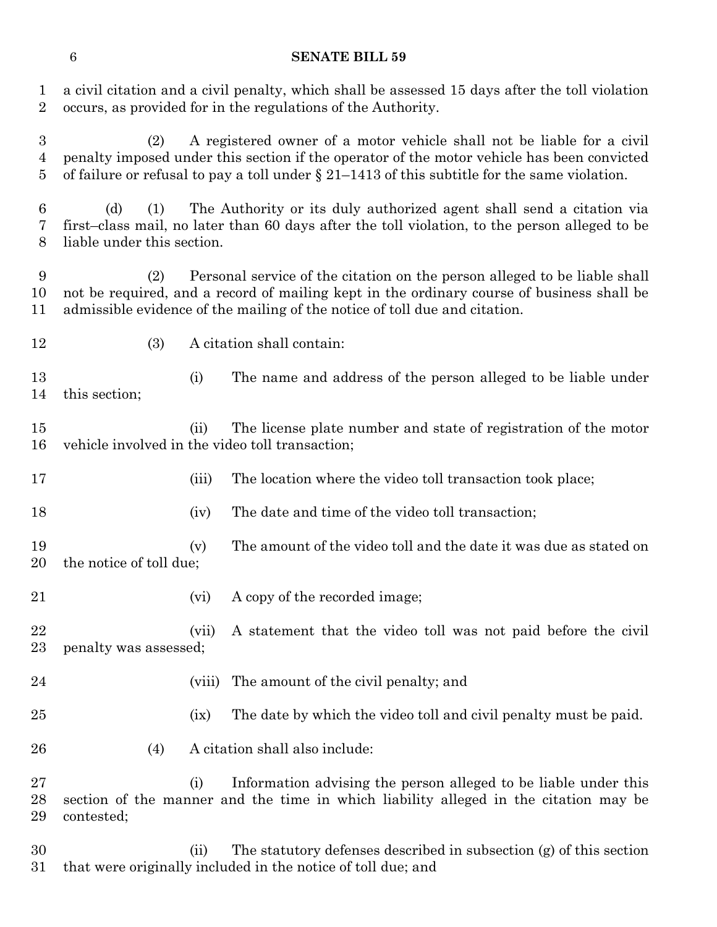a civil citation and a civil penalty, which shall be assessed 15 days after the toll violation occurs, as provided for in the regulations of the Authority.

 (2) A registered owner of a motor vehicle shall not be liable for a civil penalty imposed under this section if the operator of the motor vehicle has been convicted 5 of failure or refusal to pay a toll under  $\S 21-1413$  of this subtitle for the same violation.

 (d) (1) The Authority or its duly authorized agent shall send a citation via first–class mail, no later than 60 days after the toll violation, to the person alleged to be liable under this section.

 (2) Personal service of the citation on the person alleged to be liable shall not be required, and a record of mailing kept in the ordinary course of business shall be admissible evidence of the mailing of the notice of toll due and citation.

(3) A citation shall contain:

 (i) The name and address of the person alleged to be liable under this section;

 (ii) The license plate number and state of registration of the motor vehicle involved in the video toll transaction;

17 (iii) The location where the video toll transaction took place;

18 (iv) The date and time of the video toll transaction;

- 19 (v) The amount of the video toll and the date it was due as stated on the notice of toll due;
- 21 (vi) A copy of the recorded image;
- (vii) A statement that the video toll was not paid before the civil penalty was assessed;
- (viii) The amount of the civil penalty; and
- (ix) The date by which the video toll and civil penalty must be paid.
- (4) A citation shall also include:

 (i) Information advising the person alleged to be liable under this section of the manner and the time in which liability alleged in the citation may be contested;

 (ii) The statutory defenses described in subsection (g) of this section that were originally included in the notice of toll due; and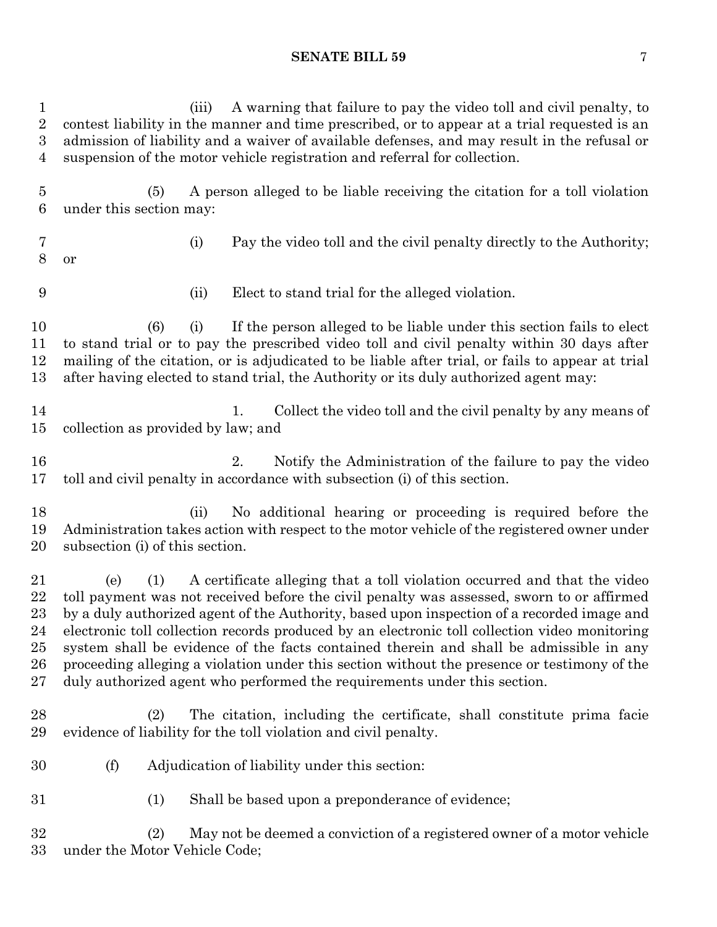(iii) A warning that failure to pay the video toll and civil penalty, to contest liability in the manner and time prescribed, or to appear at a trial requested is an admission of liability and a waiver of available defenses, and may result in the refusal or suspension of the motor vehicle registration and referral for collection. (5) A person alleged to be liable receiving the citation for a toll violation under this section may: (i) Pay the video toll and the civil penalty directly to the Authority; or (ii) Elect to stand trial for the alleged violation. (6) (i) If the person alleged to be liable under this section fails to elect to stand trial or to pay the prescribed video toll and civil penalty within 30 days after mailing of the citation, or is adjudicated to be liable after trial, or fails to appear at trial after having elected to stand trial, the Authority or its duly authorized agent may: 14 1. Collect the video toll and the civil penalty by any means of collection as provided by law; and 2. Notify the Administration of the failure to pay the video toll and civil penalty in accordance with subsection (i) of this section. (ii) No additional hearing or proceeding is required before the Administration takes action with respect to the motor vehicle of the registered owner under subsection (i) of this section. (e) (1) A certificate alleging that a toll violation occurred and that the video toll payment was not received before the civil penalty was assessed, sworn to or affirmed by a duly authorized agent of the Authority, based upon inspection of a recorded image and electronic toll collection records produced by an electronic toll collection video monitoring system shall be evidence of the facts contained therein and shall be admissible in any proceeding alleging a violation under this section without the presence or testimony of the duly authorized agent who performed the requirements under this section. (2) The citation, including the certificate, shall constitute prima facie evidence of liability for the toll violation and civil penalty. (f) Adjudication of liability under this section: (1) Shall be based upon a preponderance of evidence; (2) May not be deemed a conviction of a registered owner of a motor vehicle under the Motor Vehicle Code;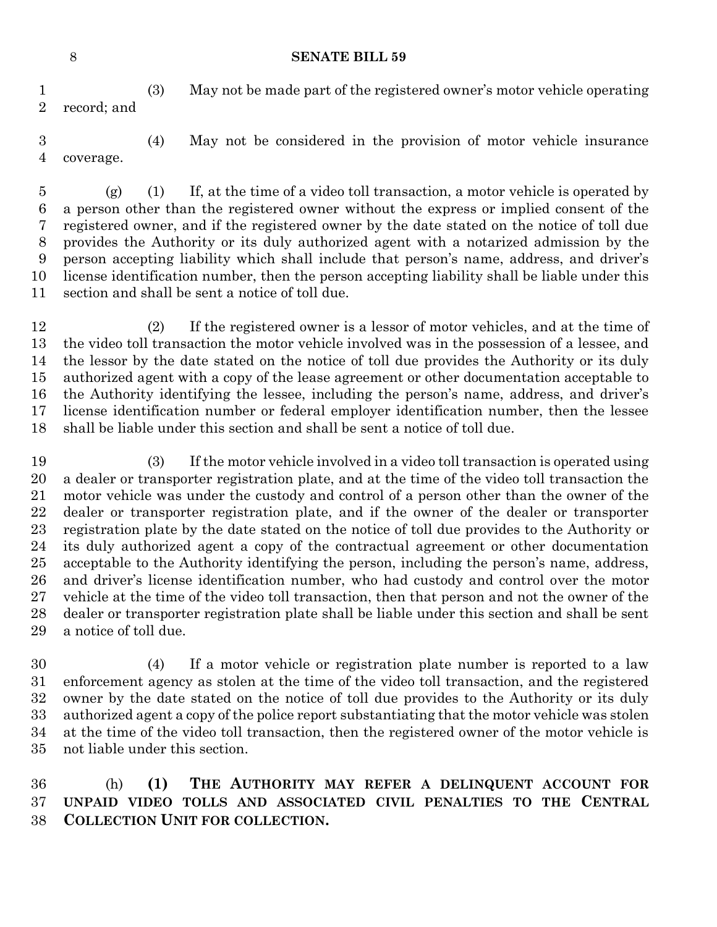(3) May not be made part of the registered owner's motor vehicle operating record; and

 (4) May not be considered in the provision of motor vehicle insurance coverage.

 (g) (1) If, at the time of a video toll transaction, a motor vehicle is operated by a person other than the registered owner without the express or implied consent of the registered owner, and if the registered owner by the date stated on the notice of toll due provides the Authority or its duly authorized agent with a notarized admission by the person accepting liability which shall include that person's name, address, and driver's license identification number, then the person accepting liability shall be liable under this section and shall be sent a notice of toll due.

 (2) If the registered owner is a lessor of motor vehicles, and at the time of the video toll transaction the motor vehicle involved was in the possession of a lessee, and the lessor by the date stated on the notice of toll due provides the Authority or its duly authorized agent with a copy of the lease agreement or other documentation acceptable to the Authority identifying the lessee, including the person's name, address, and driver's license identification number or federal employer identification number, then the lessee shall be liable under this section and shall be sent a notice of toll due.

- (3) If the motor vehicle involved in a video toll transaction is operated using a dealer or transporter registration plate, and at the time of the video toll transaction the motor vehicle was under the custody and control of a person other than the owner of the dealer or transporter registration plate, and if the owner of the dealer or transporter registration plate by the date stated on the notice of toll due provides to the Authority or its duly authorized agent a copy of the contractual agreement or other documentation acceptable to the Authority identifying the person, including the person's name, address, and driver's license identification number, who had custody and control over the motor vehicle at the time of the video toll transaction, then that person and not the owner of the dealer or transporter registration plate shall be liable under this section and shall be sent a notice of toll due.
- (4) If a motor vehicle or registration plate number is reported to a law enforcement agency as stolen at the time of the video toll transaction, and the registered owner by the date stated on the notice of toll due provides to the Authority or its duly authorized agent a copy of the police report substantiating that the motor vehicle was stolen at the time of the video toll transaction, then the registered owner of the motor vehicle is not liable under this section.

 (h) **(1) THE AUTHORITY MAY REFER A DELINQUENT ACCOUNT FOR UNPAID VIDEO TOLLS AND ASSOCIATED CIVIL PENALTIES TO THE CENTRAL COLLECTION UNIT FOR COLLECTION.**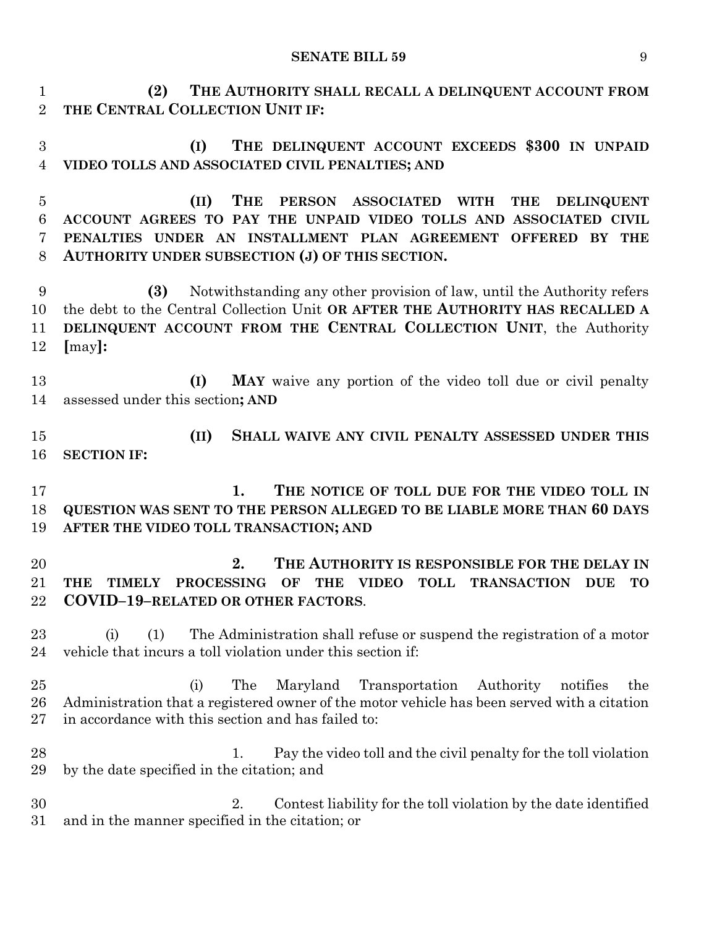**(2) THE AUTHORITY SHALL RECALL A DELINQUENT ACCOUNT FROM THE CENTRAL COLLECTION UNIT IF:**

 **(I) THE DELINQUENT ACCOUNT EXCEEDS \$300 IN UNPAID VIDEO TOLLS AND ASSOCIATED CIVIL PENALTIES; AND**

 **(II) THE PERSON ASSOCIATED WITH THE DELINQUENT ACCOUNT AGREES TO PAY THE UNPAID VIDEO TOLLS AND ASSOCIATED CIVIL PENALTIES UNDER AN INSTALLMENT PLAN AGREEMENT OFFERED BY THE AUTHORITY UNDER SUBSECTION (J) OF THIS SECTION.**

 **(3)** Notwithstanding any other provision of law, until the Authority refers the debt to the Central Collection Unit **OR AFTER THE AUTHORITY HAS RECALLED A DELINQUENT ACCOUNT FROM THE CENTRAL COLLECTION UNIT**, the Authority **[**may**]:**

 **(I) MAY** waive any portion of the video toll due or civil penalty assessed under this section**; AND**

 **(II) SHALL WAIVE ANY CIVIL PENALTY ASSESSED UNDER THIS SECTION IF:**

 **1. THE NOTICE OF TOLL DUE FOR THE VIDEO TOLL IN QUESTION WAS SENT TO THE PERSON ALLEGED TO BE LIABLE MORE THAN 60 DAYS AFTER THE VIDEO TOLL TRANSACTION; AND**

 **2. THE AUTHORITY IS RESPONSIBLE FOR THE DELAY IN THE TIMELY PROCESSING OF THE VIDEO TOLL TRANSACTION DUE TO COVID–19–RELATED OR OTHER FACTORS**.

 (i) (1) The Administration shall refuse or suspend the registration of a motor vehicle that incurs a toll violation under this section if:

 (i) The Maryland Transportation Authority notifies the Administration that a registered owner of the motor vehicle has been served with a citation in accordance with this section and has failed to:

28 1. Pay the video toll and the civil penalty for the toll violation by the date specified in the citation; and

 2. Contest liability for the toll violation by the date identified and in the manner specified in the citation; or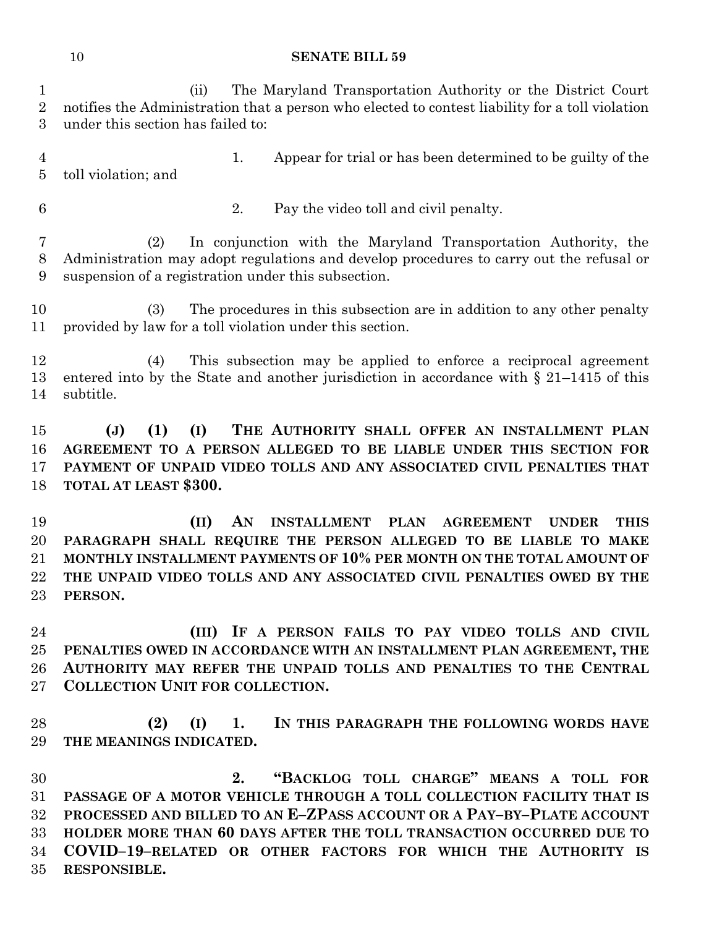(ii) The Maryland Transportation Authority or the District Court notifies the Administration that a person who elected to contest liability for a toll violation under this section has failed to: 1. Appear for trial or has been determined to be guilty of the toll violation; and 2. Pay the video toll and civil penalty. (2) In conjunction with the Maryland Transportation Authority, the Administration may adopt regulations and develop procedures to carry out the refusal or suspension of a registration under this subsection. (3) The procedures in this subsection are in addition to any other penalty provided by law for a toll violation under this section. (4) This subsection may be applied to enforce a reciprocal agreement entered into by the State and another jurisdiction in accordance with § 21–1415 of this subtitle. **(J) (1) (I) THE AUTHORITY SHALL OFFER AN INSTALLMENT PLAN AGREEMENT TO A PERSON ALLEGED TO BE LIABLE UNDER THIS SECTION FOR PAYMENT OF UNPAID VIDEO TOLLS AND ANY ASSOCIATED CIVIL PENALTIES THAT TOTAL AT LEAST \$300. (II) AN INSTALLMENT PLAN AGREEMENT UNDER THIS PARAGRAPH SHALL REQUIRE THE PERSON ALLEGED TO BE LIABLE TO MAKE MONTHLY INSTALLMENT PAYMENTS OF 10% PER MONTH ON THE TOTAL AMOUNT OF THE UNPAID VIDEO TOLLS AND ANY ASSOCIATED CIVIL PENALTIES OWED BY THE PERSON. (III) IF A PERSON FAILS TO PAY VIDEO TOLLS AND CIVIL PENALTIES OWED IN ACCORDANCE WITH AN INSTALLMENT PLAN AGREEMENT, THE AUTHORITY MAY REFER THE UNPAID TOLLS AND PENALTIES TO THE CENTRAL COLLECTION UNIT FOR COLLECTION. (2) (I) 1. IN THIS PARAGRAPH THE FOLLOWING WORDS HAVE THE MEANINGS INDICATED. 2. "BACKLOG TOLL CHARGE" MEANS A TOLL FOR PASSAGE OF A MOTOR VEHICLE THROUGH A TOLL COLLECTION FACILITY THAT IS PROCESSED AND BILLED TO AN E–ZPASS ACCOUNT OR A PAY–BY–PLATE ACCOUNT HOLDER MORE THAN 60 DAYS AFTER THE TOLL TRANSACTION OCCURRED DUE TO** 

 **COVID–19–RELATED OR OTHER FACTORS FOR WHICH THE AUTHORITY IS RESPONSIBLE.**